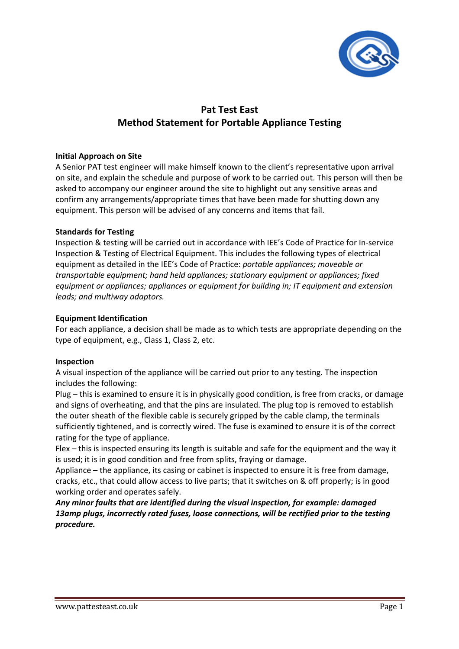

# Pat Test East Method Statement for Portable Appliance Testing

# Initial Approach on Site

A Senior PAT test engineer will make himself known to the client's representative upon arrival on site, and explain the schedule and purpose of work to be carried out. This person will then be asked to accompany our engineer around the site to highlight out any sensitive areas and confirm any arrangements/appropriate times that have been made for shutting down any equipment. This person will be advised of any concerns and items that fail.

## Standards for Testing

Inspection & testing will be carried out in accordance with IEE's Code of Practice for In-service Inspection & Testing of Electrical Equipment. This includes the following types of electrical equipment as detailed in the IEE's Code of Practice: portable appliances; moveable or transportable equipment; hand held appliances; stationary equipment or appliances; fixed equipment or appliances; appliances or equipment for building in; IT equipment and extension leads; and multiway adaptors.

## Equipment Identification

For each appliance, a decision shall be made as to which tests are appropriate depending on the type of equipment, e.g., Class 1, Class 2, etc.

#### Inspection

A visual inspection of the appliance will be carried out prior to any testing. The inspection includes the following:

Plug – this is examined to ensure it is in physically good condition, is free from cracks, or damage and signs of overheating, and that the pins are insulated. The plug top is removed to establish the outer sheath of the flexible cable is securely gripped by the cable clamp, the terminals sufficiently tightened, and is correctly wired. The fuse is examined to ensure it is of the correct rating for the type of appliance.

Flex – this is inspected ensuring its length is suitable and safe for the equipment and the way it is used; it is in good condition and free from splits, fraying or damage.

Appliance – the appliance, its casing or cabinet is inspected to ensure it is free from damage, cracks, etc., that could allow access to live parts; that it switches on & off properly; is in good working order and operates safely.

Any minor faults that are identified during the visual inspection, for example: damaged 13amp plugs, incorrectly rated fuses, loose connections, will be rectified prior to the testing procedure.